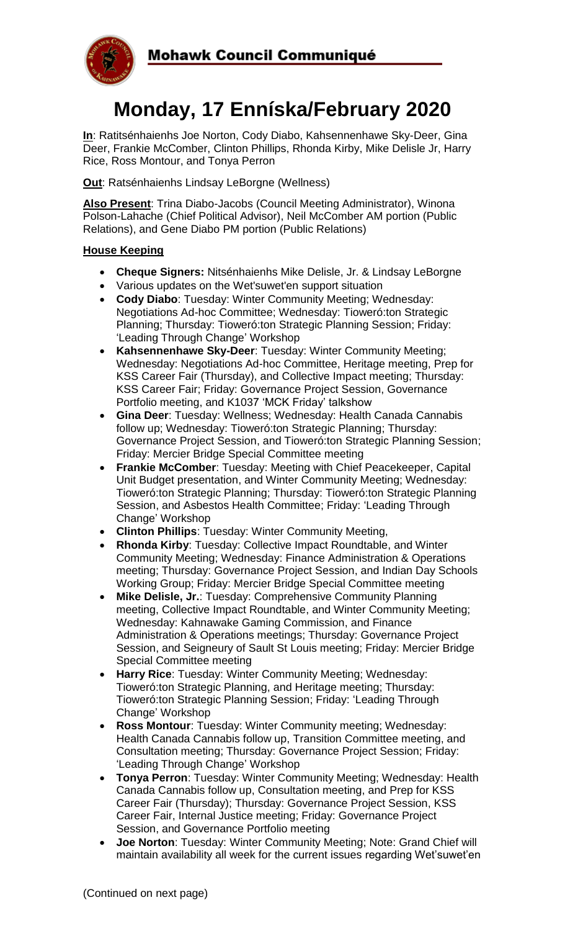

# **Monday, 17 Enníska/February 2020**

**In**: Ratitsénhaienhs Joe Norton, Cody Diabo, Kahsennenhawe Sky-Deer, Gina Deer, Frankie McComber, Clinton Phillips, Rhonda Kirby, Mike Delisle Jr, Harry Rice, Ross Montour, and Tonya Perron

**Out**: Ratsénhaienhs Lindsay LeBorgne (Wellness)

**Also Present**: Trina Diabo-Jacobs (Council Meeting Administrator), Winona Polson-Lahache (Chief Political Advisor), Neil McComber AM portion (Public Relations), and Gene Diabo PM portion (Public Relations)

# **House Keeping**

- **Cheque Signers:** Nitsénhaienhs Mike Delisle, Jr. & Lindsay LeBorgne
- Various updates on the Wet'suwet'en support situation
- **Cody Diabo**: Tuesday: Winter Community Meeting; Wednesday: Negotiations Ad-hoc Committee; Wednesday: Tioweró:ton Strategic Planning; Thursday: Tioweró:ton Strategic Planning Session; Friday: 'Leading Through Change' Workshop
- **Kahsennenhawe Sky-Deer**: Tuesday: Winter Community Meeting; Wednesday: Negotiations Ad-hoc Committee, Heritage meeting, Prep for KSS Career Fair (Thursday), and Collective Impact meeting; Thursday: KSS Career Fair; Friday: Governance Project Session, Governance Portfolio meeting, and K1037 'MCK Friday' talkshow
- **Gina Deer**: Tuesday: Wellness; Wednesday: Health Canada Cannabis follow up; Wednesday: Tioweró:ton Strategic Planning; Thursday: Governance Project Session, and Tioweró:ton Strategic Planning Session; Friday: Mercier Bridge Special Committee meeting
- **Frankie McComber**: Tuesday: Meeting with Chief Peacekeeper, Capital Unit Budget presentation, and Winter Community Meeting; Wednesday: Tioweró:ton Strategic Planning; Thursday: Tioweró:ton Strategic Planning Session, and Asbestos Health Committee; Friday: 'Leading Through Change' Workshop
- **Clinton Phillips**: Tuesday: Winter Community Meeting,
- **Rhonda Kirby**: Tuesday: Collective Impact Roundtable, and Winter Community Meeting; Wednesday: Finance Administration & Operations meeting; Thursday: Governance Project Session, and Indian Day Schools Working Group; Friday: Mercier Bridge Special Committee meeting
- **Mike Delisle, Jr.**: Tuesday: Comprehensive Community Planning meeting, Collective Impact Roundtable, and Winter Community Meeting; Wednesday: Kahnawake Gaming Commission, and Finance Administration & Operations meetings; Thursday: Governance Project Session, and Seigneury of Sault St Louis meeting; Friday: Mercier Bridge Special Committee meeting
- **Harry Rice**: Tuesday: Winter Community Meeting; Wednesday: Tioweró:ton Strategic Planning, and Heritage meeting; Thursday: Tioweró:ton Strategic Planning Session; Friday: 'Leading Through Change' Workshop
- **Ross Montour**: Tuesday: Winter Community meeting; Wednesday: Health Canada Cannabis follow up, Transition Committee meeting, and Consultation meeting; Thursday: Governance Project Session; Friday: 'Leading Through Change' Workshop
- **Tonya Perron**: Tuesday: Winter Community Meeting; Wednesday: Health Canada Cannabis follow up, Consultation meeting, and Prep for KSS Career Fair (Thursday); Thursday: Governance Project Session, KSS Career Fair, Internal Justice meeting; Friday: Governance Project Session, and Governance Portfolio meeting
- **Joe Norton**: Tuesday: Winter Community Meeting; Note: Grand Chief will maintain availability all week for the current issues regarding Wet'suwet'en